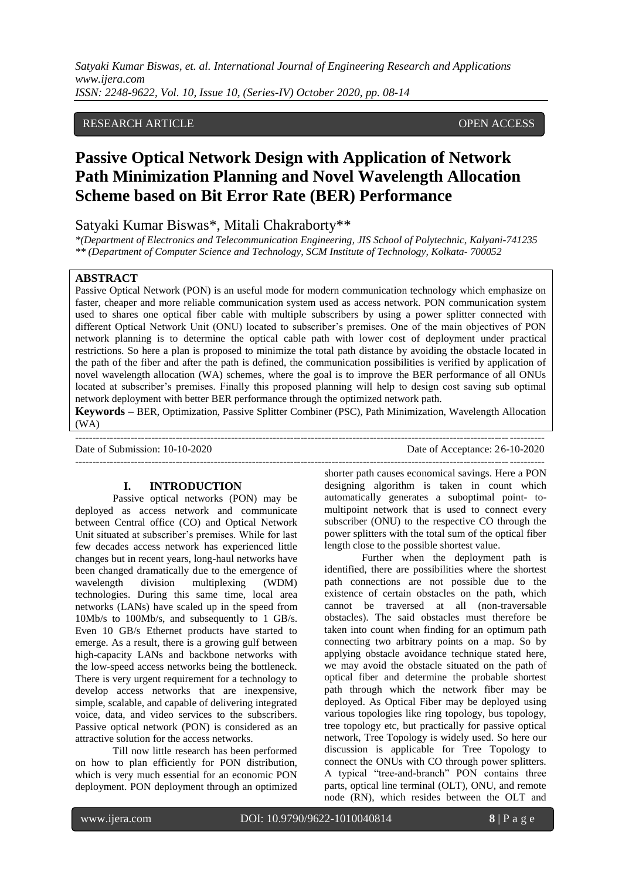## RESEARCH ARTICLE **CONSERVERS** OPEN ACCESS

# **Passive Optical Network Design with Application of Network Path Minimization Planning and Novel Wavelength Allocation Scheme based on Bit Error Rate (BER) Performance**

# Satyaki Kumar Biswas\*, Mitali Chakraborty\*\*

*\*(Department of Electronics and Telecommunication Engineering, JIS School of Polytechnic, Kalyani-741235 \*\* (Department of Computer Science and Technology, SCM Institute of Technology, Kolkata- 700052*

#### **ABSTRACT**

Passive Optical Network (PON) is an useful mode for modern communication technology which emphasize on faster, cheaper and more reliable communication system used as access network. PON communication system used to shares one optical fiber cable with multiple subscribers by using a power splitter connected with different Optical Network Unit (ONU) located to subscriber's premises. One of the main objectives of PON network planning is to determine the optical cable path with lower cost of deployment under practical restrictions. So here a plan is proposed to minimize the total path distance by avoiding the obstacle located in the path of the fiber and after the path is defined, the communication possibilities is verified by application of novel wavelength allocation (WA) schemes, where the goal is to improve the BER performance of all ONUs located at subscriber's premises. Finally this proposed planning will help to design cost saving sub optimal network deployment with better BER performance through the optimized network path.

**Keywords –** BER, Optimization, Passive Splitter Combiner (PSC), Path Minimization, Wavelength Allocation (WA) ---------------------------------------------------------------------------------------------------------------------------------------

---------------------------------------------------------------------------------------------------------------------------------------

Date of Submission: 10-10-2020 Date of Acceptance: 26-10-2020

#### **I. INTRODUCTION**

Passive optical networks (PON) may be deployed as access network and communicate between Central office (CO) and Optical Network Unit situated at subscriber"s premises. While for last few decades access network has experienced little changes but in recent years, long-haul networks have been changed dramatically due to the emergence of wavelength division multiplexing (WDM) technologies. During this same time, local area networks (LANs) have scaled up in the speed from 10Mb/s to 100Mb/s, and subsequently to 1 GB/s. Even 10 GB/s Ethernet products have started to emerge. As a result, there is a growing gulf between high-capacity LANs and backbone networks with the low-speed access networks being the bottleneck. There is very urgent requirement for a technology to develop access networks that are inexpensive, simple, scalable, and capable of delivering integrated voice, data, and video services to the subscribers. Passive optical network (PON) is considered as an attractive solution for the access networks.

Till now little research has been performed on how to plan efficiently for PON distribution, which is very much essential for an economic PON deployment. PON deployment through an optimized

shorter path causes economical savings. Here a PON designing algorithm is taken in count which automatically generates a suboptimal point- tomultipoint network that is used to connect every subscriber (ONU) to the respective CO through the power splitters with the total sum of the optical fiber length close to the possible shortest value.

Further when the deployment path is identified, there are possibilities where the shortest path connections are not possible due to the existence of certain obstacles on the path, which cannot be traversed at all (non-traversable obstacles). The said obstacles must therefore be taken into count when finding for an optimum path connecting two arbitrary points on a map. So by applying obstacle avoidance technique stated here, we may avoid the obstacle situated on the path of optical fiber and determine the probable shortest path through which the network fiber may be deployed. As Optical Fiber may be deployed using various topologies like ring topology, bus topology, tree topology etc, but practically for passive optical network, Tree Topology is widely used. So here our discussion is applicable for Tree Topology to connect the ONUs with CO through power splitters. A typical "tree-and-branch" PON contains three parts, optical line terminal (OLT), ONU, and remote node (RN), which resides between the OLT and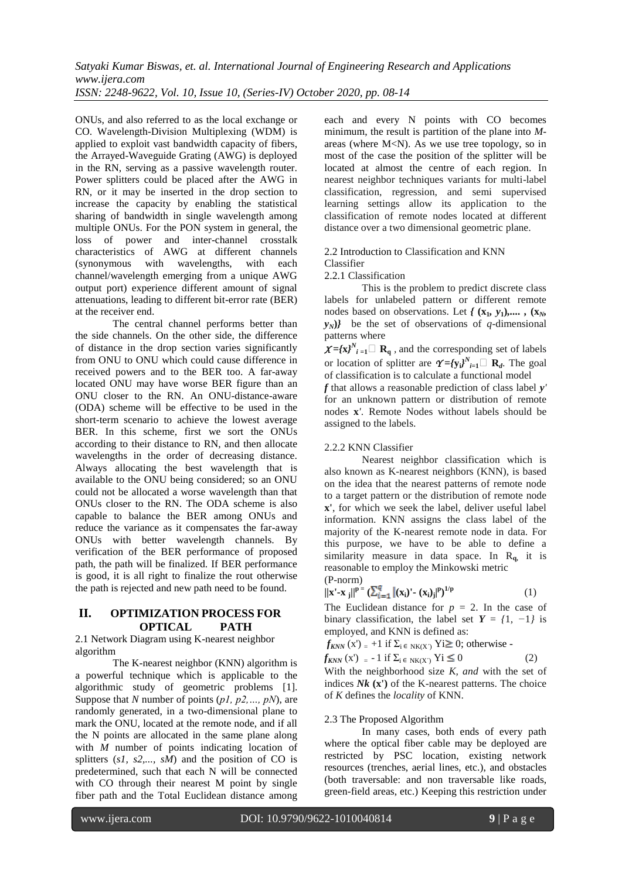ONUs, and also referred to as the local exchange or CO. Wavelength-Division Multiplexing (WDM) is applied to exploit vast bandwidth capacity of fibers, the Arrayed-Waveguide Grating (AWG) is deployed in the RN, serving as a passive wavelength router. Power splitters could be placed after the AWG in RN, or it may be inserted in the drop section to increase the capacity by enabling the statistical sharing of bandwidth in single wavelength among multiple ONUs. For the PON system in general, the loss of power and inter-channel crosstalk characteristics of AWG at different channels (synonymous with wavelengths, with each channel/wavelength emerging from a unique AWG output port) experience different amount of signal attenuations, leading to different bit-error rate (BER) at the receiver end.

The central channel performs better than the side channels. On the other side, the difference of distance in the drop section varies significantly from ONU to ONU which could cause difference in received powers and to the BER too. A far-away located ONU may have worse BER figure than an ONU closer to the RN. An ONU-distance-aware (ODA) scheme will be effective to be used in the short-term scenario to achieve the lowest average BER. In this scheme, first we sort the ONUs according to their distance to RN, and then allocate wavelengths in the order of decreasing distance. Always allocating the best wavelength that is available to the ONU being considered; so an ONU could not be allocated a worse wavelength than that ONUs closer to the RN. The ODA scheme is also capable to balance the BER among ONUs and reduce the variance as it compensates the far-away ONUs with better wavelength channels. By verification of the BER performance of proposed path, the path will be finalized. If BER performance is good, it is all right to finalize the rout otherwise the path is rejected and new path need to be found.

## **II. OPTIMIZATION PROCESS FOR OPTICAL PATH**

2.1 Network Diagram using K-nearest neighbor algorithm

The K-nearest neighbor (KNN) algorithm is a powerful technique which is applicable to the algorithmic study of geometric problems [1]. Suppose that *N* number of points (*p1, p2,…, pN*), are randomly generated, in a two-dimensional plane to mark the ONU, located at the remote node, and if all the N points are allocated in the same plane along with *M* number of points indicating location of splitters (*s1, s2,..., sM*) and the position of CO is predetermined, such that each N will be connected with CO through their nearest M point by single fiber path and the Total Euclidean distance among

each and every N points with CO becomes minimum, the result is partition of the plane into *M*areas (where  $M < N$ ). As we use tree topology, so in most of the case the position of the splitter will be located at almost the centre of each region. In nearest neighbor techniques variants for multi-label classification, regression, and semi supervised learning settings allow its application to the classification of remote nodes located at different distance over a two dimensional geometric plane.

#### 2.2 Introduction to Classification and KNN Classifier

2.2.1 Classification

This is the problem to predict discrete class labels for unlabeled pattern or different remote nodes based on observations. Let  $f(x_1, y_1), \ldots, (x_N, y_N)$  $y_N$ } be the set of observations of *q*-dimensional patterns where

 $\chi = {\chi}^N_i{}_{i=1} \Box$  **R**q, and the corresponding set of labels or location of splitter are  $\gamma = {\gamma_i}^N_{i=1}^N$  **R**<sub>*d*</sub>. The goal of classification is to calculate a functional model

*f* that allows a reasonable prediction of class label *y'* for an unknown pattern or distribution of remote nodes **x***'*. Remote Nodes without labels should be assigned to the labels.

## 2.2.2 KNN Classifier

Nearest neighbor classification which is also known as K-nearest neighbors (KNN), is based on the idea that the nearest patterns of remote node to a target pattern or the distribution of remote node **x'**, for which we seek the label, deliver useful label information. KNN assigns the class label of the majority of the K-nearest remote node in data. For this purpose, we have to be able to define a similarity measure in data space. In  $R_{q}$ , it is reasonable to employ the Minkowski metric (P-norm)

$$
||\mathbf{x}' - \mathbf{x}_j||^{p} = \left(\sum_{i=1}^q |(\mathbf{x}_i)' - (\mathbf{x}_i)_j|^p\right)^{1/p} \tag{1}
$$

The Euclidean distance for  $p = 2$ . In the case of binary classification, the label set  $Y = \{1, -1\}$  is employed, and KNN is defined as:

 $f_{KNN}$  (x') = +1 if  $\Sigma_i \in N_{K(X)}$  Yi  $\geq 0$ ; otherwise -

$$
f_{KNN}(\mathbf{x}') = -1 \text{ if } \Sigma_{\mathbf{i} \in \mathbf{N}(\mathbf{X}')} \mathbf{Y} \mathbf{i} \le 0 \tag{2}
$$

With the neighborhood size *K, and* with the set of indices *Nk* **(x')** of the K-nearest patterns. The choice of *K* defines the *locality* of KNN.

## 2.3 The Proposed Algorithm

In many cases, both ends of every path where the optical fiber cable may be deployed are restricted by PSC location, existing network resources (trenches, aerial lines, etc.), and obstacles (both traversable: and non traversable like roads, green-field areas, etc.) Keeping this restriction under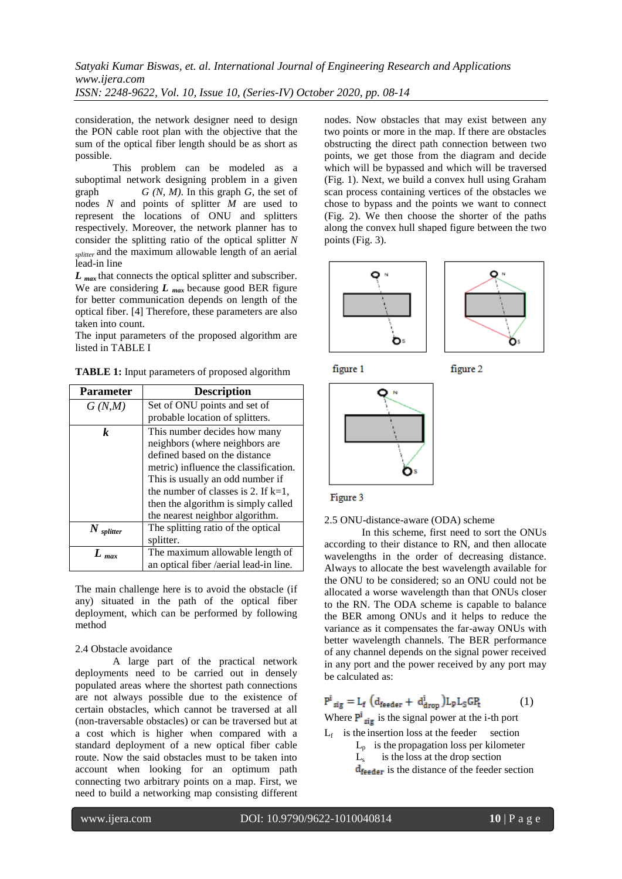consideration, the network designer need to design the PON cable root plan with the objective that the sum of the optical fiber length should be as short as possible.

This problem can be modeled as a suboptimal network designing problem in a given graph *G (N, M)*. In this graph *G*, the set of nodes *N* and points of splitter *M* are used to represent the locations of ONU and splitters respectively. Moreover, the network planner has to consider the splitting ratio of the optical splitter *N splitter* and the maximum allowable length of an aerial lead-in line

*L* <sub>max</sub> that connects the optical splitter and subscriber. We are considering *L max* because good BER figure for better communication depends on length of the optical fiber. [4] Therefore, these parameters are also taken into count.

The input parameters of the proposed algorithm are listed in TABLE I

**TABLE 1:** Input parameters of proposed algorithm

| <b>Parameter</b> | <b>Description</b>                     |
|------------------|----------------------------------------|
| G(N,M)           | Set of ONU points and set of           |
|                  | probable location of splitters.        |
| $\boldsymbol{k}$ | This number decides how many           |
|                  | neighbors (where neighbors are         |
|                  | defined based on the distance          |
|                  | metric) influence the classification.  |
|                  | This is usually an odd number if       |
|                  | the number of classes is 2. If $k=1$ , |
|                  | then the algorithm is simply called    |
|                  | the nearest neighbor algorithm.        |
| $N$ splitter     | The splitting ratio of the optical     |
|                  | splitter.                              |
| $L$ max          | The maximum allowable length of        |
|                  | an optical fiber /aerial lead-in line. |

The main challenge here is to avoid the obstacle (if any) situated in the path of the optical fiber deployment, which can be performed by following method

## 2.4 Obstacle avoidance

A large part of the practical network deployments need to be carried out in densely populated areas where the shortest path connections are not always possible due to the existence of certain obstacles, which cannot be traversed at all (non-traversable obstacles) or can be traversed but at a cost which is higher when compared with a standard deployment of a new optical fiber cable route. Now the said obstacles must to be taken into account when looking for an optimum path connecting two arbitrary points on a map. First, we need to build a networking map consisting different

nodes. Now obstacles that may exist between any two points or more in the map. If there are obstacles obstructing the direct path connection between two points, we get those from the diagram and decide which will be bypassed and which will be traversed (Fig. 1). Next, we build a convex hull using Graham scan process containing vertices of the obstacles we chose to bypass and the points we want to connect (Fig. 2). We then choose the shorter of the paths along the convex hull shaped figure between the two points (Fig. 3).







figure 2





2.5 ONU-distance-aware (ODA) scheme

 In this scheme, first need to sort the ONUs according to their distance to RN, and then allocate wavelengths in the order of decreasing distance. Always to allocate the best wavelength available for the ONU to be considered; so an ONU could not be allocated a worse wavelength than that ONUs closer to the RN. The ODA scheme is capable to balance the BER among ONUs and it helps to reduce the variance as it compensates the far-away ONUs with better wavelength channels. The BER performance of any channel depends on the signal power received in any port and the power received by any port may be calculated as:

$$
P^i_{sig} = L_f \left( d_{feeder} + d^i_{drop} \right) L_p L_S G P_t \tag{1}
$$

Where  $P^i_{\text{sig}}$  is the signal power at the i-th port

- $L_f$  is the insertion loss at the feeder section
	- $L_p$  is the propagation loss per kilometer
- L<sub>s</sub> is the loss at the drop section
	- $d_{\text{feeder}}$  is the distance of the feeder section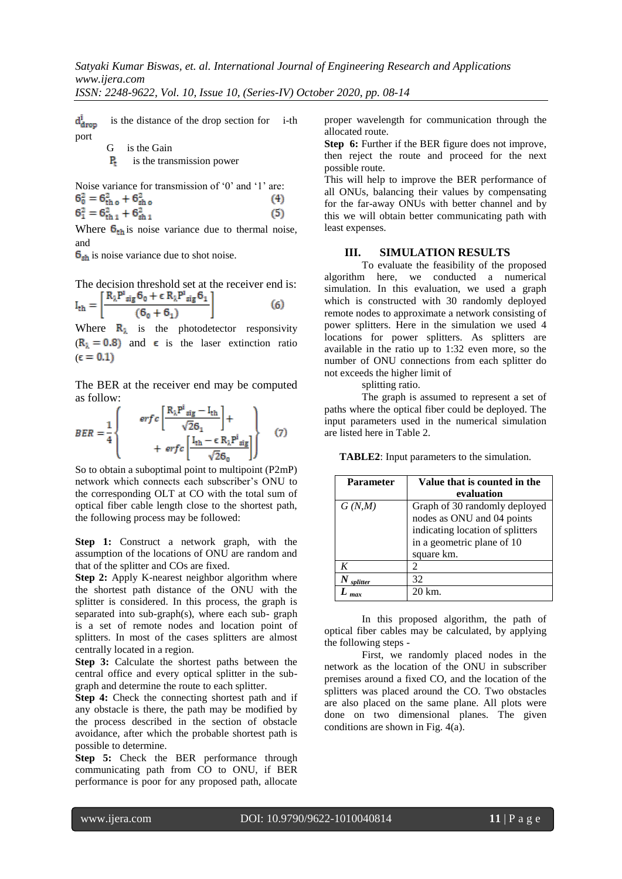*ISSN: 2248-9622, Vol. 10, Issue 10, (Series-IV) October 2020, pp. 08-14*

 is the distance of the drop section for i-th  $d^1_{drop}$ port

$$
G \quad \text{is the Gain}
$$

 $\mathbf{P}_t$  is the transmission power

Noise variance for transmission of '0' and '1' are:<br> $6^2 = 6^2 + 6^2$  (4)

$$
6_0^2 = 6_{th_0}^2 + 6_{sh_0}^2
$$
\n
$$
6_1^2 = 6_{th_1}^2 + 6_{sh_1}^2
$$
\n(5)

Where  $\mathbf{6}_{\text{th}}$  is noise variance due to thermal noise, and

 $\mathbf{6}_{\text{sh}}$  is noise variance due to shot noise.

The decision threshold set at the receiver end is:  
\n
$$
I_{th} = \left[ \frac{R_{\lambda}P^{i}{}_{sig}6_{0} + \epsilon R_{\lambda}P^{i}{}_{sig}6_{1}}{(6_{0} + 6_{1})} \right]
$$
\n(6)

Where  $\mathbf{R}_{\lambda}$  is the photodetector responsivity  $(R<sub>1</sub> = 0.8)$  and  $\epsilon$  is the laser extinction ratio  $\epsilon = 0.1$ 

The BER at the receiver end may be computed as follow:

$$
BER = \frac{1}{4} \begin{bmatrix} erf c \left[ \frac{R_{\lambda}P^{i}{}_{sig} - I_{th}}{\sqrt{26}_{1}} \right] + \\ + erf c \left[ \frac{I_{th} - \epsilon R_{\lambda}P^{i}{}_{sig}}{\sqrt{26}_{0}} \right] \end{bmatrix}
$$
 (7)

So to obtain a suboptimal point to multipoint (P2mP) network which connects each subscriber"s ONU to the corresponding OLT at CO with the total sum of optical fiber cable length close to the shortest path, the following process may be followed:

**Step 1:** Construct a network graph, with the assumption of the locations of ONU are random and that of the splitter and COs are fixed.

**Step 2:** Apply K-nearest neighbor algorithm where the shortest path distance of the ONU with the splitter is considered. In this process, the graph is separated into sub-graph(s), where each sub- graph is a set of remote nodes and location point of splitters. In most of the cases splitters are almost centrally located in a region.

**Step 3:** Calculate the shortest paths between the central office and every optical splitter in the subgraph and determine the route to each splitter.

**Step 4:** Check the connecting shortest path and if any obstacle is there, the path may be modified by the process described in the section of obstacle avoidance, after which the probable shortest path is possible to determine.

**Step 5:** Check the BER performance through communicating path from CO to ONU, if BER performance is poor for any proposed path, allocate proper wavelength for communication through the allocated route.

**Step 6:** Further if the BER figure does not improve, then reject the route and proceed for the next possible route.

This will help to improve the BER performance of all ONUs, balancing their values by compensating for the far-away ONUs with better channel and by this we will obtain better communicating path with least expenses.

#### **III. SIMULATION RESULTS**

To evaluate the feasibility of the proposed algorithm here, we conducted a numerical simulation. In this evaluation, we used a graph which is constructed with 30 randomly deployed remote nodes to approximate a network consisting of power splitters. Here in the simulation we used 4 locations for power splitters. As splitters are available in the ratio up to 1:32 even more, so the number of ONU connections from each splitter do not exceeds the higher limit of

splitting ratio.

The graph is assumed to represent a set of paths where the optical fiber could be deployed. The input parameters used in the numerical simulation are listed here in Table 2.

| TABLE2: Input parameters to the simulation. |  |
|---------------------------------------------|--|
|---------------------------------------------|--|

| <b>Parameter</b> | Value that is counted in the     |
|------------------|----------------------------------|
|                  | evaluation                       |
| G(N,M)           | Graph of 30 randomly deployed    |
|                  | nodes as ONU and 04 points       |
|                  | indicating location of splitters |
|                  | in a geometric plane of 10       |
|                  | square km.                       |
| K                | 2                                |
| splitter         | 32                               |
|                  |                                  |

In this proposed algorithm, the path of optical fiber cables may be calculated, by applying the following steps -

First, we randomly placed nodes in the network as the location of the ONU in subscriber premises around a fixed CO, and the location of the splitters was placed around the CO. Two obstacles are also placed on the same plane. All plots were done on two dimensional planes. The given conditions are shown in Fig. 4(a).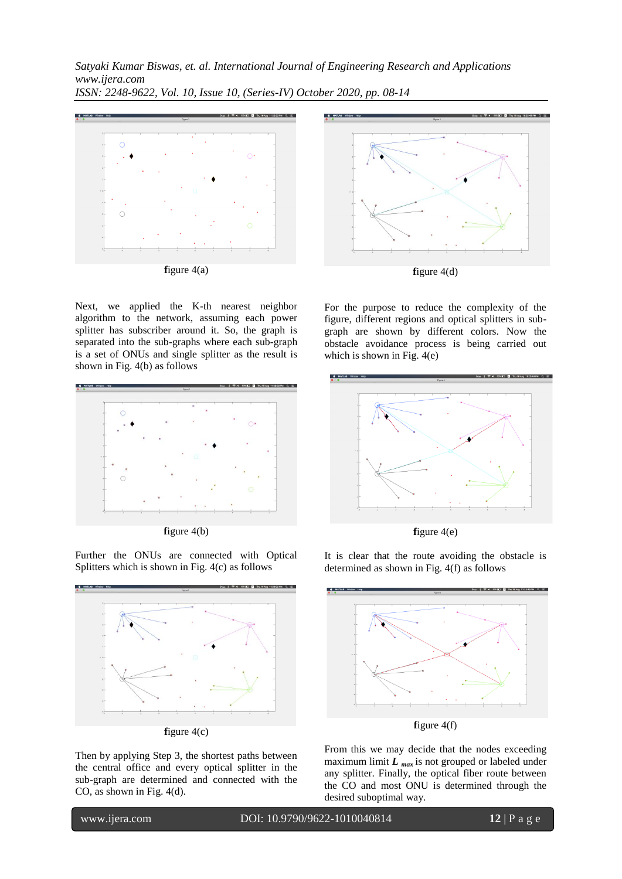



Next, we applied the K-th nearest neighbor algorithm to the network, assuming each power splitter has subscriber around it. So, the graph is separated into the sub-graphs where each sub-graph is a set of ONUs and single splitter as the result is shown in Fig. 4(b) as follows



**f**igure 4(b)

Further the ONUs are connected with Optical Splitters which is shown in Fig. 4(c) as follows





Then by applying Step 3, the shortest paths between the central office and every optical splitter in the sub-graph are determined and connected with the CO, as shown in Fig. 4(d).

For the purpose to reduce the complexity of the figure, different regions and optical splitters in subgraph are shown by different colors. Now the obstacle avoidance process is being carried out which is shown in Fig. 4(e)



**f**igure 4(e)

It is clear that the route avoiding the obstacle is determined as shown in Fig. 4(f) as follows



From this we may decide that the nodes exceeding maximum limit  $L_{\text{max}}$  is not grouped or labeled under any splitter. Finally, the optical fiber route between the CO and most ONU is determined through the desired suboptimal way.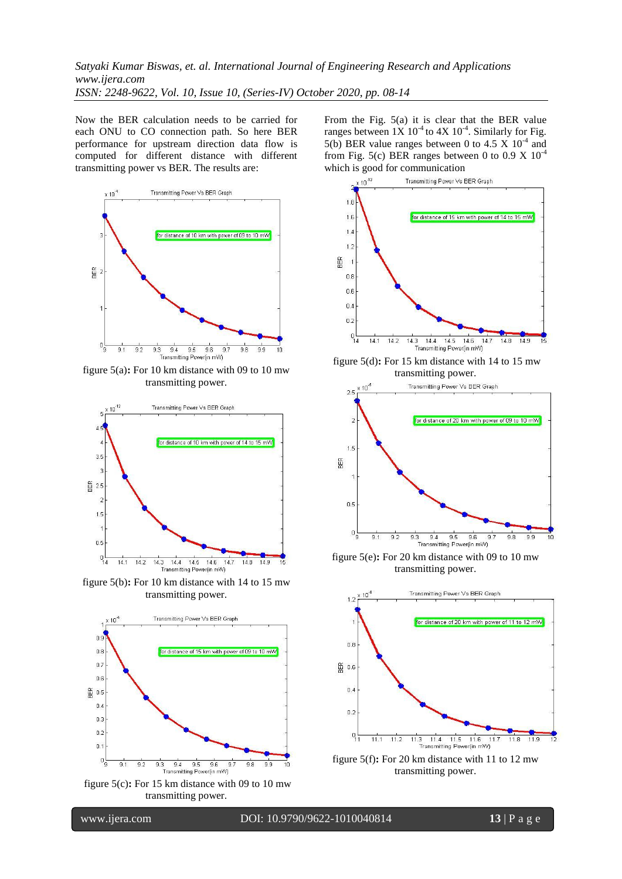Now the BER calculation needs to be carried for each ONU to CO connection path. So here BER performance for upstream direction data flow is computed for different distance with different transmitting power vs BER. The results are:



figure 5(a)**:** For 10 km distance with 09 to 10 mw transmitting power.



figure 5(b)**:** For 10 km distance with 14 to 15 mw transmitting power.



figure 5(c)**:** For 15 km distance with 09 to 10 mw transmitting power.

From the Fig. 5(a) it is clear that the BER value ranges between  $1X 10^4$  to  $4X 10^4$ . Similarly for Fig. 5(b) BER value ranges between 0 to 4.5 X  $10^{-4}$  and from Fig. 5(c) BER ranges between 0 to 0.9 X  $10^{-4}$ 



figure 5(e)**:** For 20 km distance with 09 to 10 mw transmitting power.

Transmitting Power(in mW)



figure 5(f)**:** For 20 km distance with 11 to 12 mw transmitting power.